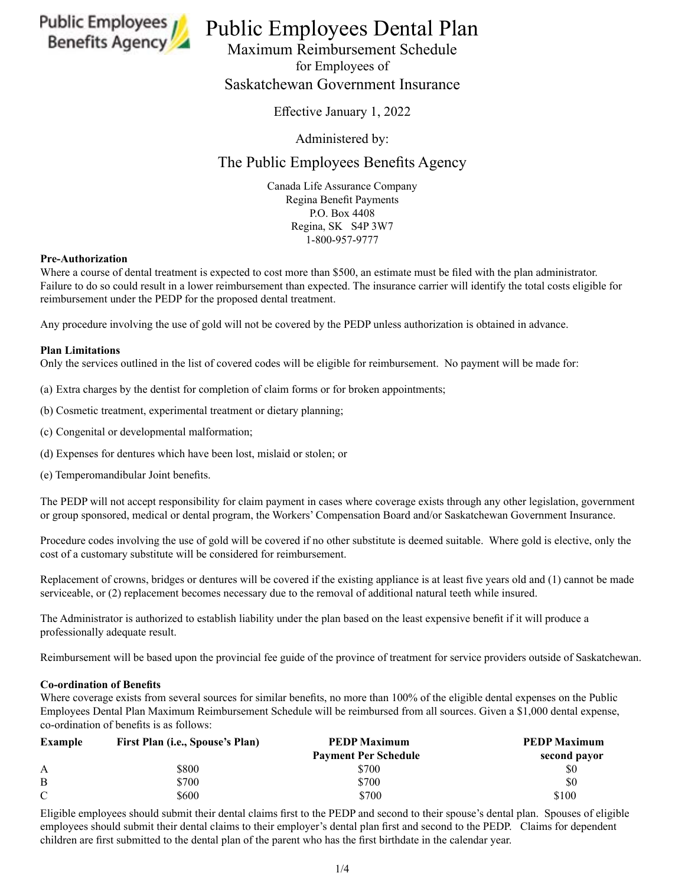

# Public Employees Dental Plan

Maximum Reimbursement Schedule for Employees of Saskatchewan Government Insurance

Effective January 1, 2022

Administered by:

## The Public Employees Benefits Agency

Canada Life Assurance Company Regina Benefit Payments P.O. Box 4408 Regina, SK S4P 3W7 1-800-957-9777

#### **Pre-Authorization**

Where a course of dental treatment is expected to cost more than \$500, an estimate must be filed with the plan administrator. Failure to do so could result in a lower reimbursement than expected. The insurance carrier will identify the total costs eligible for reimbursement under the PEDP for the proposed dental treatment.

Any procedure involving the use of gold will not be covered by the PEDP unless authorization is obtained in advance.

#### **Plan Limitations**

Only the services outlined in the list of covered codes will be eligible for reimbursement. No payment will be made for:

- (a) Extra charges by the dentist for completion of claim forms or for broken appointments;
- (b) Cosmetic treatment, experimental treatment or dietary planning;
- (c) Congenital or developmental malformation;
- (d) Expenses for dentures which have been lost, mislaid or stolen; or
- (e) Temperomandibular Joint benefits.

The PEDP will not accept responsibility for claim payment in cases where coverage exists through any other legislation, government or group sponsored, medical or dental program, the Workers' Compensation Board and/or Saskatchewan Government Insurance.

Procedure codes involving the use of gold will be covered if no other substitute is deemed suitable. Where gold is elective, only the cost of a customary substitute will be considered for reimbursement.

Replacement of crowns, bridges or dentures will be covered if the existing appliance is at least five years old and (1) cannot be made serviceable, or (2) replacement becomes necessary due to the removal of additional natural teeth while insured.

The Administrator is authorized to establish liability under the plan based on the least expensive benefit if it will produce a professionally adequate result.

Reimbursement will be based upon the provincial fee guide of the province of treatment for service providers outside of Saskatchewan.

#### **Co-ordination of Benefits**

Where coverage exists from several sources for similar benefits, no more than 100% of the eligible dental expenses on the Public Employees Dental Plan Maximum Reimbursement Schedule will be reimbursed from all sources. Given a \$1,000 dental expense, co‑ordination of benefits is as follows:

| Example | First Plan ( <i>i.e.</i> , Spouse's Plan) | <b>PEDP Maximum</b>         | <b>PEDP Maximum</b> |
|---------|-------------------------------------------|-----------------------------|---------------------|
|         |                                           | <b>Payment Per Schedule</b> | second payor        |
| A       | \$800                                     | \$700                       | \$0                 |
| B       | \$700                                     | \$700                       | \$0                 |
| C       | \$600                                     | \$700                       | \$100               |

Eligible employees should submit their dental claims first to the PEDP and second to their spouse's dental plan. Spouses of eligible employees should submit their dental claims to their employer's dental plan first and second to the PEDP. Claims for dependent children are first submitted to the dental plan of the parent who has the first birthdate in the calendar year.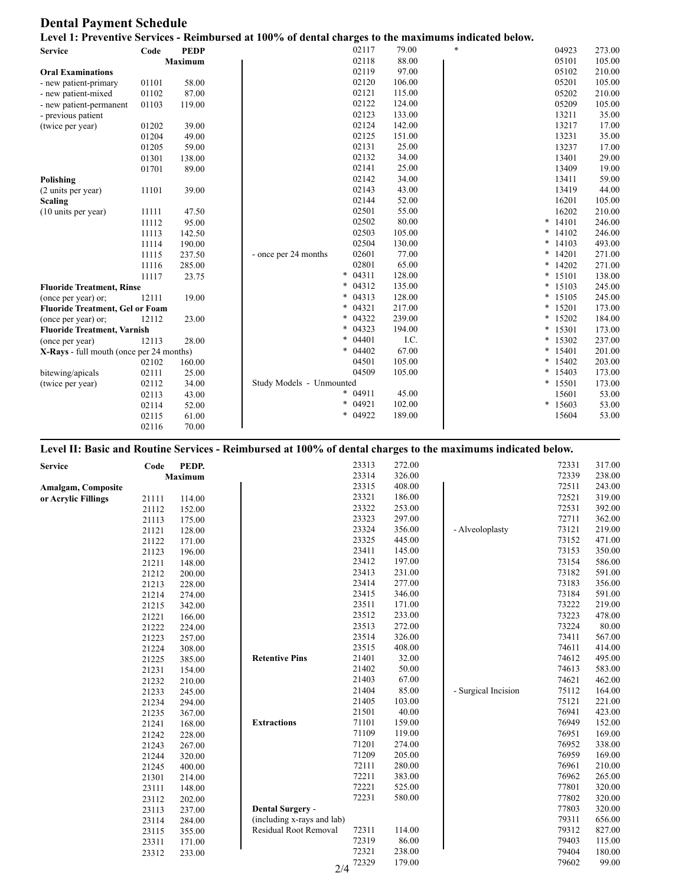## **Dental Payment Schedule**

| Level 1: Preventive Services - Reimbursed at 100% of dental charges to the maximums indicated below. |       |             |                          |                 |        |                 |        |
|------------------------------------------------------------------------------------------------------|-------|-------------|--------------------------|-----------------|--------|-----------------|--------|
| <b>Service</b>                                                                                       | Code  | <b>PEDP</b> |                          | 02117           | 79.00  | 04923           | 273.00 |
|                                                                                                      |       | Maximum     |                          | 02118           | 88.00  | 05101           | 105.00 |
| <b>Oral Examinations</b>                                                                             |       |             |                          | 02119           | 97.00  | 05102           | 210.00 |
| - new patient-primary                                                                                | 01101 | 58.00       |                          | 02120           | 106.00 | 05201           | 105.00 |
| - new patient-mixed                                                                                  | 01102 | 87.00       |                          | 02121           | 115.00 | 05202           | 210.00 |
| - new patient-permanent                                                                              | 01103 | 119.00      |                          | 02122           | 124.00 | 05209           | 105.00 |
| - previous patient                                                                                   |       |             |                          | 02123           | 133.00 | 13211           | 35.00  |
| (twice per year)                                                                                     | 01202 | 39.00       |                          | 02124           | 142.00 | 13217           | 17.00  |
|                                                                                                      | 01204 | 49.00       |                          | 02125           | 151.00 | 13231           | 35.00  |
|                                                                                                      | 01205 | 59.00       |                          | 02131           | 25.00  | 13237           | 17.00  |
|                                                                                                      | 01301 | 138.00      |                          | 02132           | 34.00  | 13401           | 29.00  |
|                                                                                                      | 01701 | 89.00       |                          | 02141           | 25.00  | 13409           | 19.00  |
| Polishing                                                                                            |       |             |                          | 02142           | 34.00  | 13411           | 59.00  |
| (2 units per year)                                                                                   | 11101 | 39.00       |                          | 02143           | 43.00  | 13419           | 44.00  |
| <b>Scaling</b>                                                                                       |       |             |                          | 02144           | 52.00  | 16201           | 105.00 |
| (10 units per year)                                                                                  | 11111 | 47.50       |                          | 02501           | 55.00  | 16202           | 210.00 |
|                                                                                                      | 11112 | 95.00       |                          | 02502           | 80.00  | 14101<br>$\ast$ | 246.00 |
|                                                                                                      | 11113 | 142.50      |                          | 02503           | 105.00 | *<br>14102      | 246.00 |
|                                                                                                      | 11114 | 190.00      |                          | 02504           | 130.00 | $\ast$<br>14103 | 493.00 |
|                                                                                                      | 11115 | 237.50      | - once per 24 months     | 02601           | 77.00  | *<br>14201      | 271.00 |
|                                                                                                      | 11116 | 285.00      |                          | 02801           | 65.00  | *<br>14202      | 271.00 |
|                                                                                                      | 11117 | 23.75       |                          | 04311<br>$\ast$ | 128.00 | *<br>15101      | 138.00 |
| <b>Fluoride Treatment, Rinse</b>                                                                     |       |             |                          | 04312<br>$\ast$ | 135.00 | $\ast$<br>15103 | 245.00 |
| (once per year) or;                                                                                  | 12111 | 19.00       |                          | 04313<br>$\ast$ | 128.00 | *<br>15105      | 245.00 |
| <b>Fluoride Treatment, Gel or Foam</b>                                                               |       |             |                          | $\ast$<br>04321 | 217.00 | *<br>15201      | 173.00 |
| (once per year) or;                                                                                  | 12112 | 23.00       |                          | 04322<br>$\ast$ | 239.00 | *<br>15202      | 184.00 |
| <b>Fluoride Treatment, Varnish</b>                                                                   |       |             |                          | $\ast$<br>04323 | 194.00 | 15301<br>*      | 173.00 |
| (once per year)                                                                                      | 12113 | 28.00       |                          | $\ast$<br>04401 | I.C.   | *<br>15302      | 237.00 |
| X-Rays - full mouth (once per 24 months)                                                             |       |             |                          | 04402<br>$\ast$ | 67.00  | *<br>15401      | 201.00 |
|                                                                                                      | 02102 | 160.00      |                          | 04501           | 105.00 | $\ast$<br>15402 | 203.00 |
| bitewing/apicals                                                                                     | 02111 | 25.00       |                          | 04509           | 105.00 | 15403<br>*      | 173.00 |
| (twice per year)                                                                                     | 02112 | 34.00       | Study Models - Unmounted |                 |        | * 15501         | 173.00 |
|                                                                                                      | 02113 | 43.00       |                          | $\ast$<br>04911 | 45.00  | 15601           | 53.00  |
|                                                                                                      | 02114 | 52.00       |                          | $\ast$<br>04921 | 102.00 | *<br>15603      | 53.00  |
|                                                                                                      | 02115 | 61.00       |                          | $\ast$<br>04922 | 189.00 | 15604           | 53.00  |
|                                                                                                      | 02116 | 70.00       |                          |                 |        |                 |        |

## **Level II: Basic and Routine Services - Reimbursed at 100% of dental charges to the maximums indicated below.**

| <b>Service</b>            | Code  | PEDP.          |                            | 23313 | 272.00 |                     | 72331 | 317.00 |
|---------------------------|-------|----------------|----------------------------|-------|--------|---------------------|-------|--------|
|                           |       | <b>Maximum</b> |                            | 23314 | 326.00 |                     | 72339 | 238.00 |
| <b>Amalgam, Composite</b> |       |                |                            | 23315 | 408.00 |                     | 72511 | 243.00 |
| or Acrylic Fillings       | 21111 | 114.00         |                            | 23321 | 186.00 |                     | 72521 | 319.00 |
|                           | 21112 | 152.00         |                            | 23322 | 253.00 |                     | 72531 | 392.00 |
|                           | 21113 | 175.00         |                            | 23323 | 297.00 |                     | 72711 | 362.00 |
|                           | 21121 | 128.00         |                            | 23324 | 356.00 | - Alveoloplasty     | 73121 | 219.00 |
|                           | 21122 | 171.00         |                            | 23325 | 445.00 |                     | 73152 | 471.00 |
|                           | 21123 | 196.00         |                            | 23411 | 145.00 |                     | 73153 | 350.00 |
|                           | 21211 | 148.00         |                            | 23412 | 197.00 |                     | 73154 | 586.00 |
|                           | 21212 | 200.00         |                            | 23413 | 231.00 |                     | 73182 | 591.00 |
|                           | 21213 | 228.00         |                            | 23414 | 277.00 |                     | 73183 | 356.00 |
|                           | 21214 | 274.00         |                            | 23415 | 346.00 |                     | 73184 | 591.00 |
|                           | 21215 | 342.00         |                            | 23511 | 171.00 |                     | 73222 | 219.00 |
|                           | 21221 | 166.00         |                            | 23512 | 233.00 |                     | 73223 | 478.00 |
|                           | 21222 | 224.00         |                            | 23513 | 272.00 |                     | 73224 | 80.00  |
|                           | 21223 | 257.00         |                            | 23514 | 326.00 |                     | 73411 | 567.00 |
|                           | 21224 | 308.00         |                            | 23515 | 408.00 |                     | 74611 | 414.00 |
|                           | 21225 | 385.00         | <b>Retentive Pins</b>      | 21401 | 32.00  |                     | 74612 | 495.00 |
|                           | 21231 | 154.00         |                            | 21402 | 50.00  |                     | 74613 | 583.00 |
|                           | 21232 | 210.00         |                            | 21403 | 67.00  |                     | 74621 | 462.00 |
|                           | 21233 | 245.00         |                            | 21404 | 85.00  | - Surgical Incision | 75112 | 164.00 |
|                           | 21234 | 294.00         |                            | 21405 | 103.00 |                     | 75121 | 221.00 |
|                           | 21235 | 367.00         |                            | 21501 | 40.00  |                     | 76941 | 423.00 |
|                           | 21241 | 168.00         | <b>Extractions</b>         | 71101 | 159.00 |                     | 76949 | 152.00 |
|                           | 21242 | 228.00         |                            | 71109 | 119.00 |                     | 76951 | 169.00 |
|                           | 21243 | 267.00         |                            | 71201 | 274.00 |                     | 76952 | 338.00 |
|                           | 21244 | 320.00         |                            | 71209 | 205.00 |                     | 76959 | 169.00 |
|                           | 21245 | 400.00         |                            | 72111 | 280.00 |                     | 76961 | 210.00 |
|                           | 21301 | 214.00         |                            | 72211 | 383.00 |                     | 76962 | 265.00 |
|                           | 23111 | 148.00         |                            | 72221 | 525.00 |                     | 77801 | 320.00 |
|                           | 23112 | 202.00         |                            | 72231 | 580.00 |                     | 77802 | 320.00 |
|                           | 23113 | 237.00         | <b>Dental Surgery -</b>    |       |        |                     | 77803 | 320.00 |
|                           | 23114 | 284.00         | (including x-rays and lab) |       |        |                     | 79311 | 656.00 |
|                           | 23115 | 355.00         | Residual Root Removal      | 72311 | 114.00 |                     | 79312 | 827.00 |
|                           | 23311 | 171.00         |                            | 72319 | 86.00  |                     | 79403 | 115.00 |
|                           | 23312 | 233.00         |                            | 72321 | 238.00 |                     | 79404 | 180.00 |
|                           |       |                | 2/4                        | 72329 | 179.00 |                     | 79602 | 99.00  |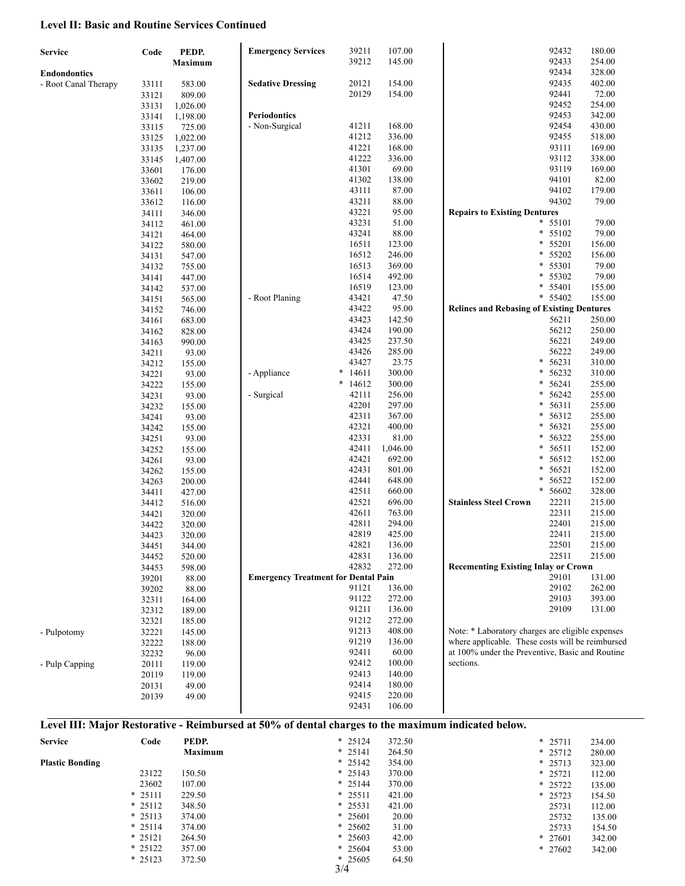#### **Level II: Basic and Routine Services Continued**

| <b>Service</b>       | Code           | PEDP.            | <b>Emergency Services</b>                  | 39211           | 107.00          | 92432                                            | 180.00           |
|----------------------|----------------|------------------|--------------------------------------------|-----------------|-----------------|--------------------------------------------------|------------------|
|                      |                | Maximum          |                                            | 39212           | 145.00          | 92433                                            | 254.00           |
| <b>Endondontics</b>  |                |                  |                                            |                 |                 | 92434                                            | 328.00           |
| - Root Canal Therapy | 33111          | 583.00           | <b>Sedative Dressing</b>                   | 20121           | 154.00          | 92435                                            | 402.00           |
|                      | 33121          | 809.00           |                                            | 20129           | 154.00          | 92441                                            | 72.00            |
|                      | 33131          | 1,026.00         |                                            |                 |                 | 92452                                            | 254.00           |
|                      | 33141          | 1,198.00         | Periodontics                               |                 |                 | 92453                                            | 342.00           |
|                      | 33115          | 725.00           | - Non-Surgical                             | 41211           | 168.00          | 92454                                            | 430.00           |
|                      | 33125          | 1,022.00         |                                            | 41212           | 336.00          | 92455                                            | 518.00           |
|                      | 33135          | 1,237.00         |                                            | 41221           | 168.00          | 93111                                            | 169.00           |
|                      | 33145          | 1,407.00         |                                            | 41222           | 336.00          | 93112                                            | 338.00           |
|                      | 33601          | 176.00           |                                            | 41301           | 69.00           | 93119                                            | 169.00           |
|                      | 33602          | 219.00           |                                            | 41302           | 138.00          | 94101                                            | 82.00            |
|                      | 33611          | 106.00           |                                            | 43111           | 87.00           | 94102                                            | 179.00           |
|                      | 33612          | 116.00           |                                            | 43211           | 88.00           | 94302                                            | 79.00            |
|                      | 34111          | 346.00           |                                            | 43221           | 95.00           | <b>Repairs to Existing Dentures</b><br>$\ast$    |                  |
|                      | 34112          | 461.00           |                                            | 43231           | 51.00           | 55101<br>$\ast$                                  | 79.00            |
|                      | 34121          | 464.00           |                                            | 43241           | 88.00           | 55102                                            | 79.00            |
|                      | 34122          | 580.00           |                                            | 16511           | 123.00          | $\ast$<br>55201<br>$\ast$                        | 156.00           |
|                      | 34131          | 547.00           |                                            | 16512           | 246.00          | 55202<br>$\ast$                                  | 156.00           |
|                      | 34132          | 755.00           |                                            | 16513           | 369.00          | 55301<br>*                                       | 79.00            |
|                      | 34141          | 447.00           |                                            | 16514           | 492.00          | 55302<br>$\ast$                                  | 79.00            |
|                      | 34142          | 537.00           |                                            | 16519           | 123.00          | 55401                                            | 155.00           |
|                      | 34151          | 565.00           | - Root Planing                             | 43421           | 47.50           | * 55402                                          | 155.00           |
|                      | 34152          | 746.00           |                                            | 43422           | 95.00           | <b>Relines and Rebasing of Existing Dentures</b> |                  |
|                      | 34161          | 683.00           |                                            | 43423           | 142.50          | 56211                                            | 250.00           |
|                      | 34162          | 828.00           |                                            | 43424           | 190.00          | 56212                                            | 250.00           |
|                      | 34163          | 990.00           |                                            | 43425           | 237.50          | 56221                                            | 249.00           |
|                      | 34211          | 93.00            |                                            | 43426           | 285.00          | 56222<br>$\ast$                                  | 249.00           |
|                      | 34212          | 155.00           |                                            | 43427           | 23.75           | 56231<br>$\ast$                                  | 310.00           |
|                      | 34221          | 93.00            | - Appliance                                | 14611<br>*<br>∗ | 300.00          | 56232<br>$\ast$                                  | 310.00           |
|                      | 34222          | 155.00           |                                            | 14612           | 300.00          | 56241<br>$\ast$                                  | 255.00           |
|                      | 34231          | 93.00            | - Surgical                                 | 42111           | 256.00          | 56242<br>$\ast$                                  | 255.00           |
|                      | 34232          | 155.00           |                                            | 42201           | 297.00          | 56311<br>$\ast$                                  | 255.00           |
|                      | 34241          | 93.00            |                                            | 42311<br>42321  | 367.00          | 56312<br>$\ast$                                  | 255.00<br>255.00 |
|                      | 34242          | 155.00           |                                            | 42331           | 400.00<br>81.00 | 56321<br>*<br>56322                              | 255.00           |
|                      | 34251          | 93.00            |                                            | 42411           | 1,046.00        | $\ast$<br>56511                                  | 152.00           |
|                      | 34252          | 155.00           |                                            | 42421           | 692.00          | $\ast$<br>56512                                  | 152.00           |
|                      | 34261          | 93.00            |                                            | 42431           | 801.00          | $\ast$<br>56521                                  | 152.00           |
|                      | 34262          | 155.00           |                                            | 42441           | 648.00          | $\ast$<br>56522                                  | 152.00           |
|                      | 34263          | 200.00           |                                            | 42511           | 660.00          | $\ast$<br>56602                                  | 328.00           |
|                      | 34411          | 427.00           |                                            | 42521           | 696.00          | <b>Stainless Steel Crown</b><br>22211            | 215.00           |
|                      | 34412          | 516.00           |                                            | 42611           | 763.00          | 22311                                            | 215.00           |
|                      | 34421          | 320.00           |                                            | 42811           | 294.00          | 22401                                            | 215.00           |
|                      | 34422<br>34423 | 320.00<br>320.00 |                                            | 42819           | 425.00          | 22411                                            | 215.00           |
|                      | 34451          | 344.00           |                                            | 42821           | 136.00          | 22501                                            | 215.00           |
|                      |                | 520.00           |                                            | 42831           | 136.00          | 22511                                            | 215.00           |
|                      | 34452<br>34453 | 598.00           |                                            | 42832           | 272.00          | <b>Recementing Existing Inlay or Crown</b>       |                  |
|                      | 39201          | 88.00            | <b>Emergency Treatment for Dental Pain</b> |                 |                 | 29101                                            | 131.00           |
|                      | 39202          | 88.00            |                                            | 91121           | 136.00          | 29102                                            | 262.00           |
|                      | 32311          | 164.00           |                                            | 91122           | 272.00          | 29103                                            | 393.00           |
|                      | 32312          | 189.00           |                                            | 91211           | 136.00          | 29109                                            | 131.00           |
|                      | 32321          | 185.00           |                                            | 91212           | 272.00          |                                                  |                  |
| - Pulpotomy          | 32221          | 145.00           |                                            | 91213           | 408.00          | Note: * Laboratory charges are eligible expenses |                  |
|                      | 32222          | 188.00           |                                            | 91219           | 136.00          | where applicable. These costs will be reimbursed |                  |
|                      | 32232          | 96.00            |                                            | 92411           | 60.00           | at 100% under the Preventive, Basic and Routine  |                  |
| - Pulp Capping       | 20111          | 119.00           |                                            | 92412           | 100.00          | sections.                                        |                  |
|                      | 20119          | 119.00           |                                            | 92413           | 140.00          |                                                  |                  |
|                      | 20131          | 49.00            |                                            | 92414           | 180.00          |                                                  |                  |
|                      | 20139          | 49.00            |                                            | 92415           | 220.00          |                                                  |                  |
|                      |                |                  |                                            | 92431           | 106.00          |                                                  |                  |

## **Level III: Major Restorative - Reimbursed at 50% of dental charges to the maximum indicated below.**

| <b>Service</b>         | Code      | PEDP.          | $* 25124$       | 372.50 | $*$ 25711 | 234.00 |
|------------------------|-----------|----------------|-----------------|--------|-----------|--------|
|                        |           | <b>Maximum</b> | $* 25141$       | 264.50 | $*$ 25712 | 280.00 |
| <b>Plastic Bonding</b> |           |                | $* 25142$       | 354.00 | $*$ 25713 | 323.00 |
|                        | 23122     | 150.50         | $* 25143$       | 370.00 | $*$ 25721 | 112.00 |
|                        | 23602     | 107.00         | $* 25144$       | 370.00 | $*$ 25722 | 135.00 |
|                        | $*$ 25111 | 229.50         | $*$ 25511       | 421.00 | $*25723$  | 154.50 |
|                        | $*25112$  | 348.50         | $* 25531$       | 421.00 | 25731     | 112.00 |
|                        | $*25113$  | 374.00         | $* 25601$       | 20.00  | 25732     | 135.00 |
|                        | $* 25114$ | 374.00         | $* 25602$       | 31.00  | 25733     | 154.50 |
|                        | $* 25121$ | 264.50         | $* 25603$       | 42.00  | $*27601$  | 342.00 |
|                        | $*25122$  | 357.00         | $* 25604$       | 53.00  | $*$ 27602 | 342.00 |
|                        | $*25123$  | 372.50         | $*25605$<br>3/4 | 64.50  |           |        |